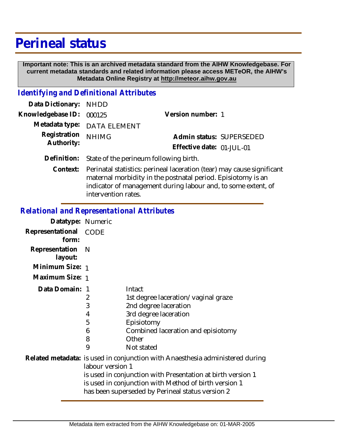## **Perineal status**

 **Important note: This is an archived metadata standard from the AIHW Knowledgebase. For current metadata standards and related information please access METeOR, the AIHW's Metadata Online Registry at http://meteor.aihw.gov.au**

## *Identifying and Definitional Attributes*

| Data Dictionary: NHDD      |                                                    |                           |  |
|----------------------------|----------------------------------------------------|---------------------------|--|
| Knowledgebase ID: 000125   |                                                    | Version number: 1         |  |
|                            | Metadata type: DATA ELEMENT                        |                           |  |
| Registration<br>Authority: | <b>NHIMG</b>                                       | Admin status: SUPERSEDED  |  |
|                            |                                                    | Effective date: 01-JUL-01 |  |
|                            | Definition: State of the perineum following birth. |                           |  |

Context: Perinatal statistics: perineal laceration (tear) may cause significant maternal morbidity in the postnatal period. Episiotomy is an indicator of management during labour and, to some extent, of intervention rates.

## *Relational and Representational Attributes*

| Datatype: Numeric         |                                                                                                                                                                                                                                                                               |                                                                                                                                                                            |
|---------------------------|-------------------------------------------------------------------------------------------------------------------------------------------------------------------------------------------------------------------------------------------------------------------------------|----------------------------------------------------------------------------------------------------------------------------------------------------------------------------|
| Representational<br>form: | CODE                                                                                                                                                                                                                                                                          |                                                                                                                                                                            |
| Representation<br>layout: | - N                                                                                                                                                                                                                                                                           |                                                                                                                                                                            |
| Minimum Size: 1           |                                                                                                                                                                                                                                                                               |                                                                                                                                                                            |
| Maximum Size: 1           |                                                                                                                                                                                                                                                                               |                                                                                                                                                                            |
| Data Domain:              | 2<br>3<br>4<br>5<br>6<br>8<br>9                                                                                                                                                                                                                                               | Intact<br>1st degree laceration/vaginal graze<br>2nd degree laceration<br>3rd degree laceration<br>Episiotomy<br>Combined laceration and episiotomy<br>Other<br>Not stated |
|                           | Related metadata: is used in conjunction with Anaesthesia administered during<br>labour version 1<br>is used in conjunction with Presentation at birth version 1<br>is used in conjunction with Method of birth version 1<br>has been superseded by Perineal status version 2 |                                                                                                                                                                            |